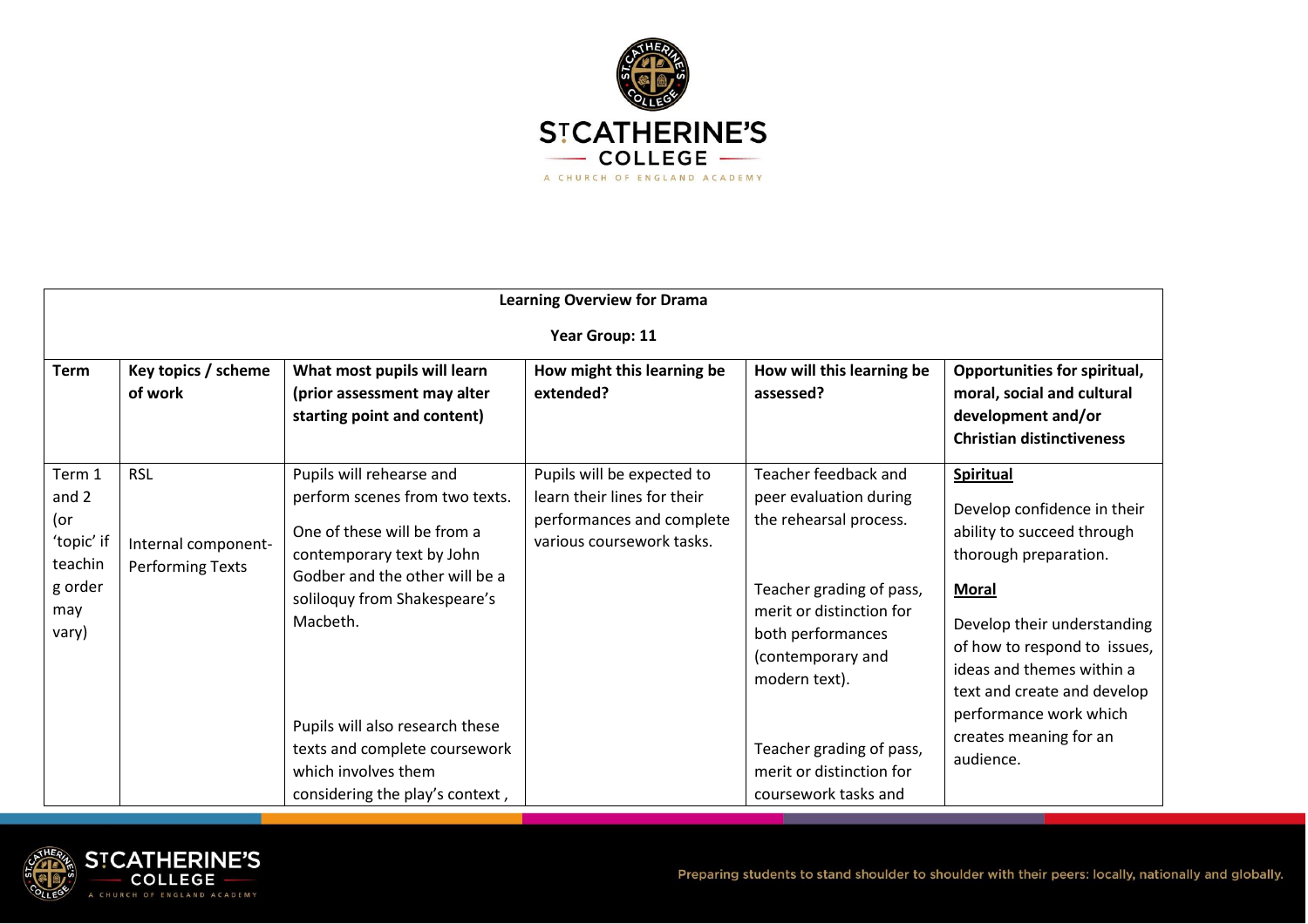

| <b>Learning Overview for Drama</b>                                         |                                                              |                                                                                                                                                                                                                                                                                                                                    |                                                                                                                     |                                                                                                                                                                                                                                                                             |                                                                                                                                                                                                                                                                                                                    |
|----------------------------------------------------------------------------|--------------------------------------------------------------|------------------------------------------------------------------------------------------------------------------------------------------------------------------------------------------------------------------------------------------------------------------------------------------------------------------------------------|---------------------------------------------------------------------------------------------------------------------|-----------------------------------------------------------------------------------------------------------------------------------------------------------------------------------------------------------------------------------------------------------------------------|--------------------------------------------------------------------------------------------------------------------------------------------------------------------------------------------------------------------------------------------------------------------------------------------------------------------|
| Year Group: 11                                                             |                                                              |                                                                                                                                                                                                                                                                                                                                    |                                                                                                                     |                                                                                                                                                                                                                                                                             |                                                                                                                                                                                                                                                                                                                    |
| <b>Term</b>                                                                | Key topics / scheme<br>of work                               | What most pupils will learn<br>(prior assessment may alter<br>starting point and content)                                                                                                                                                                                                                                          | How might this learning be<br>extended?                                                                             | How will this learning be<br>assessed?                                                                                                                                                                                                                                      | Opportunities for spiritual,<br>moral, social and cultural<br>development and/or<br><b>Christian distinctiveness</b>                                                                                                                                                                                               |
| Term 1<br>and 2<br>(or<br>'topic' if<br>teachin<br>g order<br>may<br>vary) | <b>RSL</b><br>Internal component-<br><b>Performing Texts</b> | Pupils will rehearse and<br>perform scenes from two texts.<br>One of these will be from a<br>contemporary text by John<br>Godber and the other will be a<br>soliloquy from Shakespeare's<br>Macbeth.<br>Pupils will also research these<br>texts and complete coursework<br>which involves them<br>considering the play's context, | Pupils will be expected to<br>learn their lines for their<br>performances and complete<br>various coursework tasks. | Teacher feedback and<br>peer evaluation during<br>the rehearsal process.<br>Teacher grading of pass,<br>merit or distinction for<br>both performances<br>(contemporary and<br>modern text).<br>Teacher grading of pass,<br>merit or distinction for<br>coursework tasks and | <b>Spiritual</b><br>Develop confidence in their<br>ability to succeed through<br>thorough preparation.<br><b>Moral</b><br>Develop their understanding<br>of how to respond to issues,<br>ideas and themes within a<br>text and create and develop<br>performance work which<br>creates meaning for an<br>audience. |

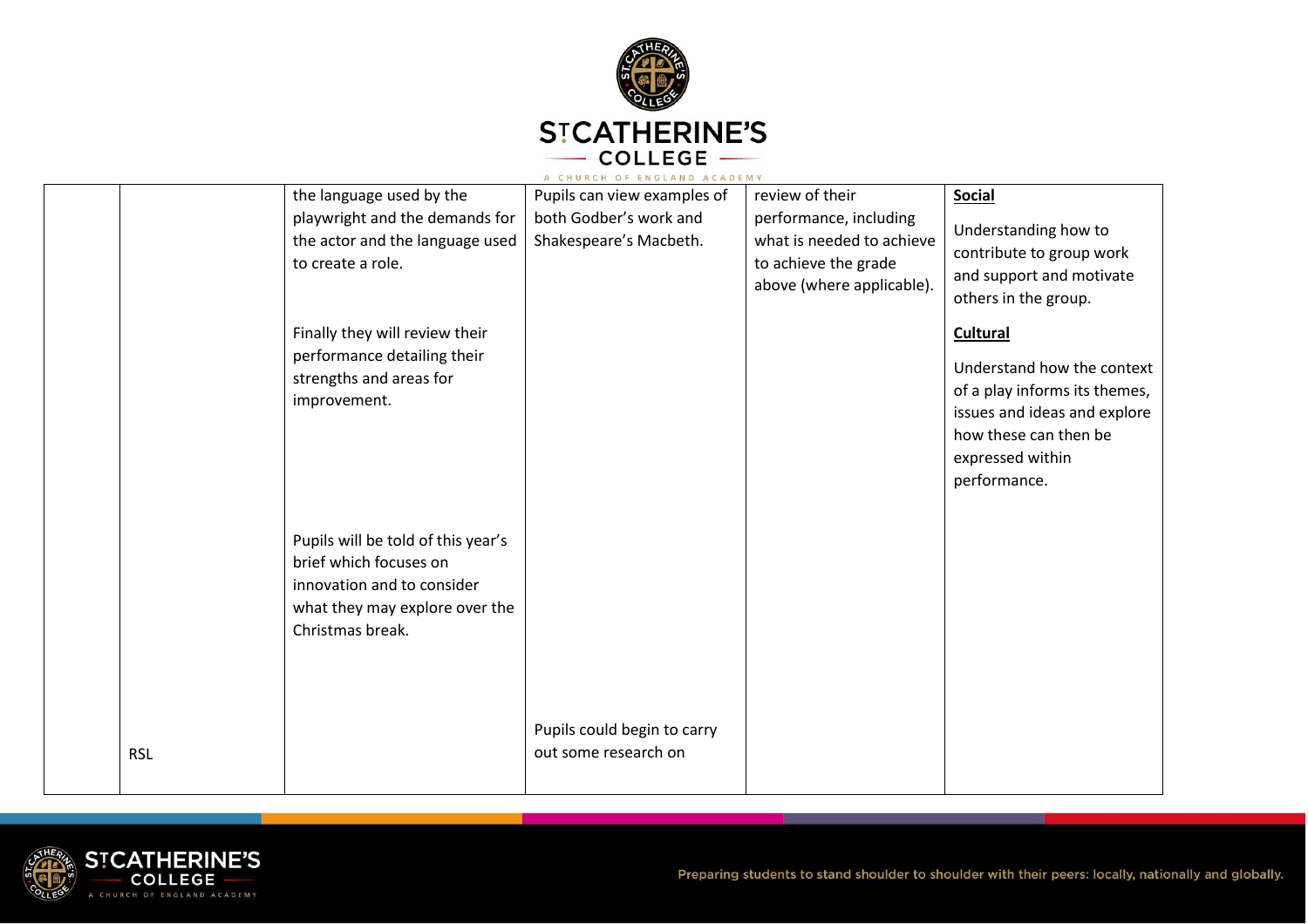

|            |                                                                                                                                                  | A CHURCH OF ENGLAND ACADEMY                         |                                                                                                          |                                                                                                                                                                             |
|------------|--------------------------------------------------------------------------------------------------------------------------------------------------|-----------------------------------------------------|----------------------------------------------------------------------------------------------------------|-----------------------------------------------------------------------------------------------------------------------------------------------------------------------------|
|            | the language used by the                                                                                                                         | Pupils can view examples of                         | review of their                                                                                          | <b>Social</b>                                                                                                                                                               |
|            | playwright and the demands for<br>the actor and the language used<br>to create a role.                                                           | both Godber's work and<br>Shakespeare's Macbeth.    | performance, including<br>what is needed to achieve<br>to achieve the grade<br>above (where applicable). | Understanding how to<br>contribute to group work<br>and support and motivate<br>others in the group.                                                                        |
|            | Finally they will review their<br>performance detailing their<br>strengths and areas for<br>improvement.                                         |                                                     |                                                                                                          | <b>Cultural</b><br>Understand how the context<br>of a play informs its themes,<br>issues and ideas and explore<br>how these can then be<br>expressed within<br>performance. |
|            | Pupils will be told of this year's<br>brief which focuses on<br>innovation and to consider<br>what they may explore over the<br>Christmas break. |                                                     |                                                                                                          |                                                                                                                                                                             |
| <b>RSL</b> |                                                                                                                                                  | Pupils could begin to carry<br>out some research on |                                                                                                          |                                                                                                                                                                             |

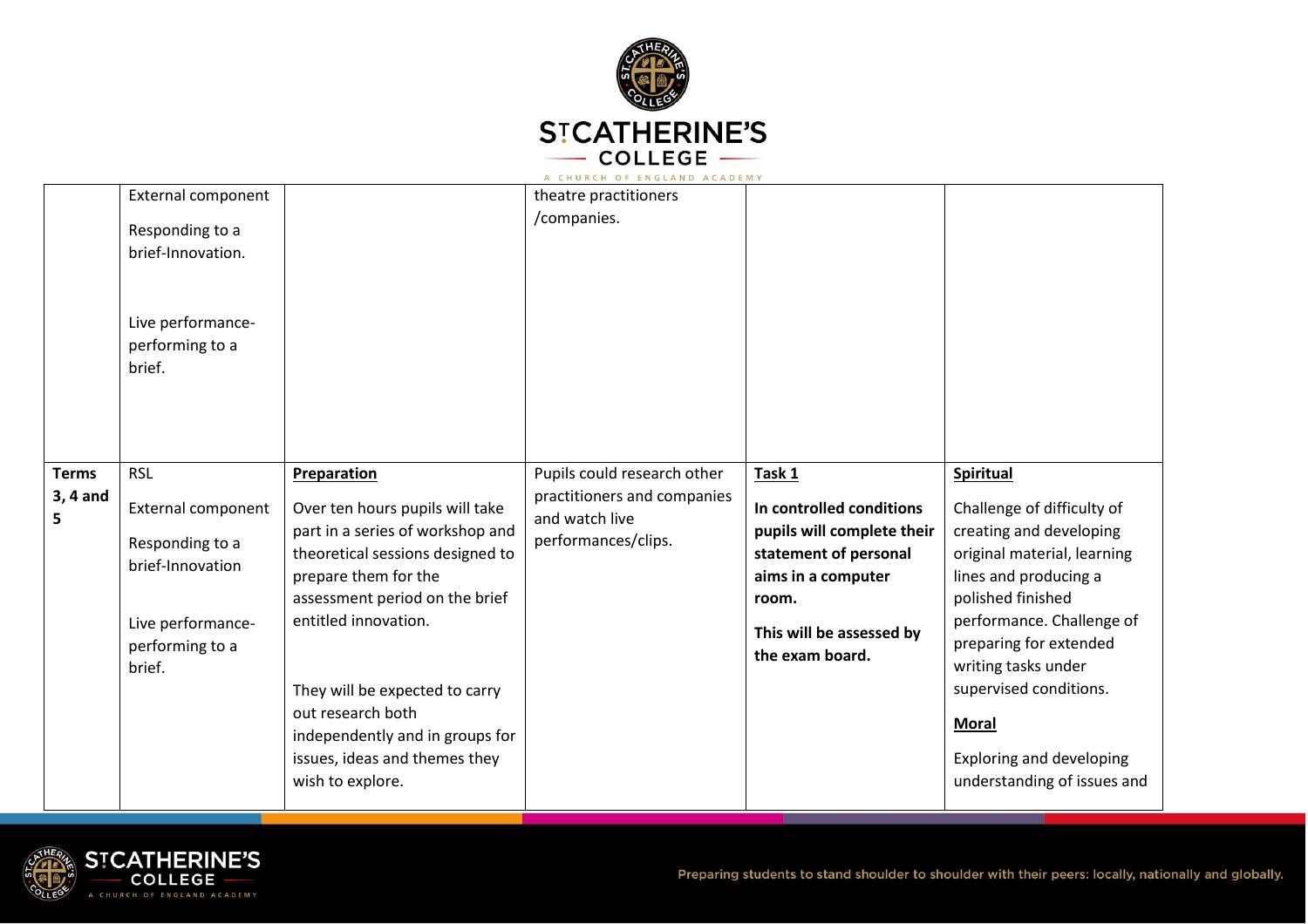

|                               | <b>External component</b><br>Responding to a<br>brief-Innovation.<br>Live performance-<br>performing to a<br>brief.              |                                                                                                                                                                                                                                                                                                                                                                | theatre practitioners<br>/companies.                                                                |                                                                                                                                                                         |                                                                                                                                                                                                                                                                                                                                                  |
|-------------------------------|----------------------------------------------------------------------------------------------------------------------------------|----------------------------------------------------------------------------------------------------------------------------------------------------------------------------------------------------------------------------------------------------------------------------------------------------------------------------------------------------------------|-----------------------------------------------------------------------------------------------------|-------------------------------------------------------------------------------------------------------------------------------------------------------------------------|--------------------------------------------------------------------------------------------------------------------------------------------------------------------------------------------------------------------------------------------------------------------------------------------------------------------------------------------------|
| <b>Terms</b><br>3, 4 and<br>5 | <b>RSL</b><br><b>External component</b><br>Responding to a<br>brief-Innovation<br>Live performance-<br>performing to a<br>brief. | <b>Preparation</b><br>Over ten hours pupils will take<br>part in a series of workshop and<br>theoretical sessions designed to<br>prepare them for the<br>assessment period on the brief<br>entitled innovation.<br>They will be expected to carry<br>out research both<br>independently and in groups for<br>issues, ideas and themes they<br>wish to explore. | Pupils could research other<br>practitioners and companies<br>and watch live<br>performances/clips. | Task 1<br>In controlled conditions<br>pupils will complete their<br>statement of personal<br>aims in a computer<br>room.<br>This will be assessed by<br>the exam board. | <b>Spiritual</b><br>Challenge of difficulty of<br>creating and developing<br>original material, learning<br>lines and producing a<br>polished finished<br>performance. Challenge of<br>preparing for extended<br>writing tasks under<br>supervised conditions.<br><b>Moral</b><br><b>Exploring and developing</b><br>understanding of issues and |

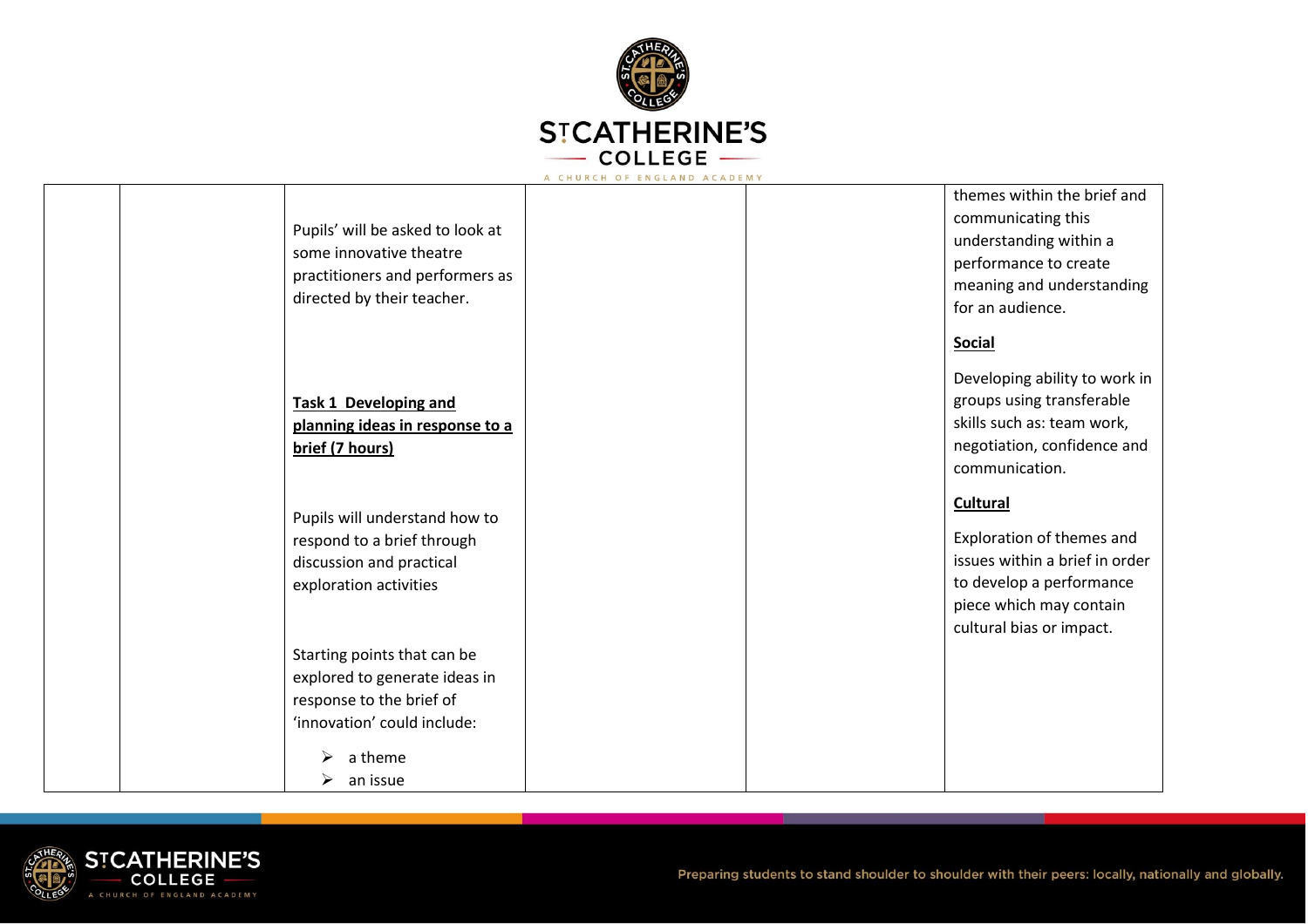

|                                                             | themes within the brief and    |
|-------------------------------------------------------------|--------------------------------|
|                                                             | communicating this             |
| Pupils' will be asked to look at<br>some innovative theatre | understanding within a         |
| practitioners and performers as                             | performance to create          |
| directed by their teacher.                                  | meaning and understanding      |
|                                                             | for an audience.               |
|                                                             | <b>Social</b>                  |
|                                                             | Developing ability to work in  |
| <b>Task 1 Developing and</b>                                | groups using transferable      |
| planning ideas in response to a                             | skills such as: team work,     |
| brief (7 hours)                                             | negotiation, confidence and    |
|                                                             | communication.                 |
|                                                             | <b>Cultural</b>                |
|                                                             |                                |
| Pupils will understand how to                               |                                |
| respond to a brief through                                  | Exploration of themes and      |
| discussion and practical                                    | issues within a brief in order |
| exploration activities                                      | to develop a performance       |
|                                                             | piece which may contain        |
|                                                             | cultural bias or impact.       |
| Starting points that can be                                 |                                |
| explored to generate ideas in                               |                                |
| response to the brief of                                    |                                |
| 'innovation' could include:                                 |                                |
| a theme                                                     |                                |

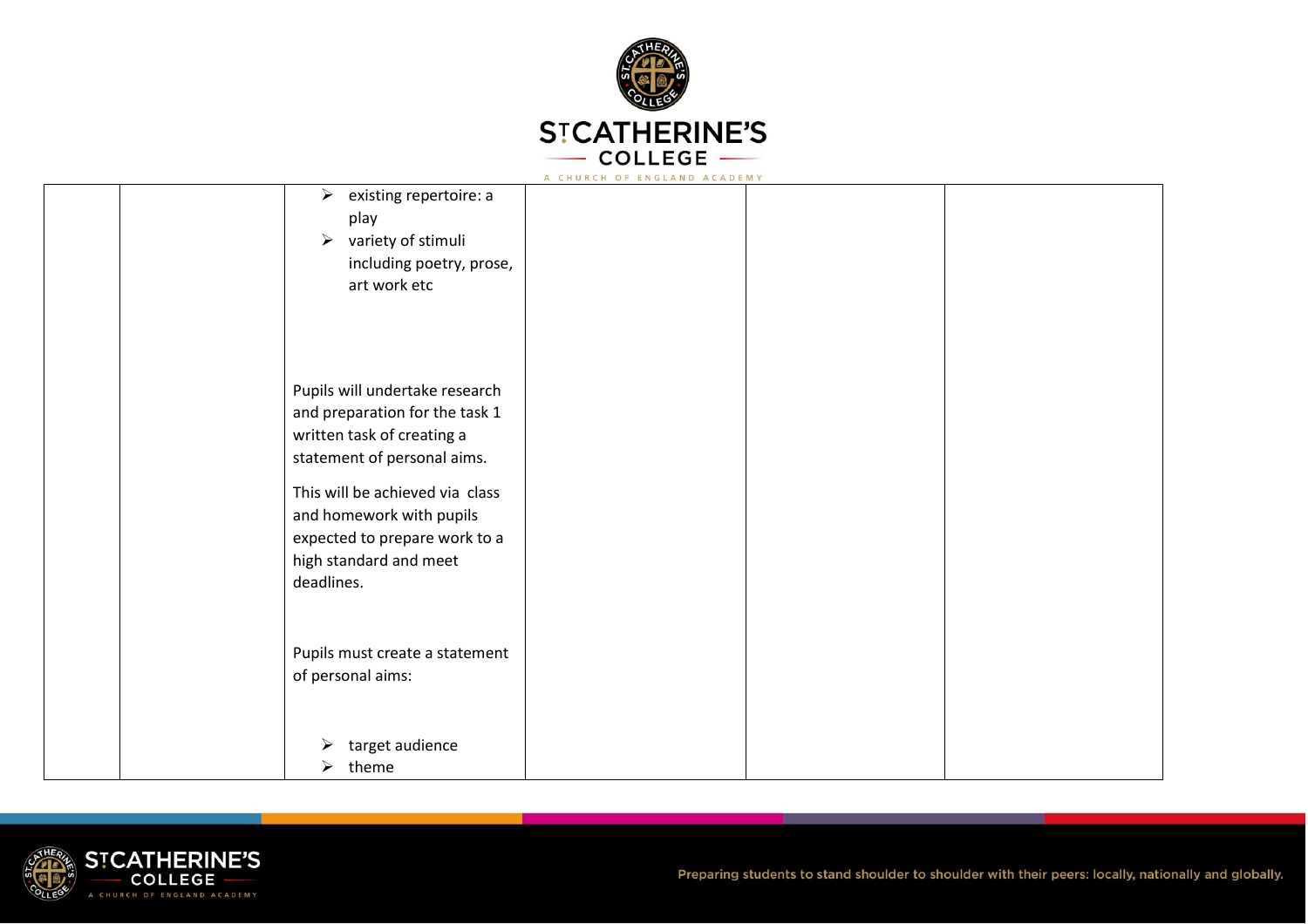

|                                                                                                                                                                                                                                                                       | A CHURCH OF ENGLAND ACADEMY |  |
|-----------------------------------------------------------------------------------------------------------------------------------------------------------------------------------------------------------------------------------------------------------------------|-----------------------------|--|
| existing repertoire: a<br>➤<br>play<br>variety of stimuli<br>$\blacktriangleright$<br>including poetry, prose,<br>art work etc                                                                                                                                        |                             |  |
| Pupils will undertake research<br>and preparation for the task 1<br>written task of creating a<br>statement of personal aims.<br>This will be achieved via class<br>and homework with pupils<br>expected to prepare work to a<br>high standard and meet<br>deadlines. |                             |  |
| Pupils must create a statement<br>of personal aims:                                                                                                                                                                                                                   |                             |  |
| target audience<br>➤<br>theme<br>➤                                                                                                                                                                                                                                    |                             |  |

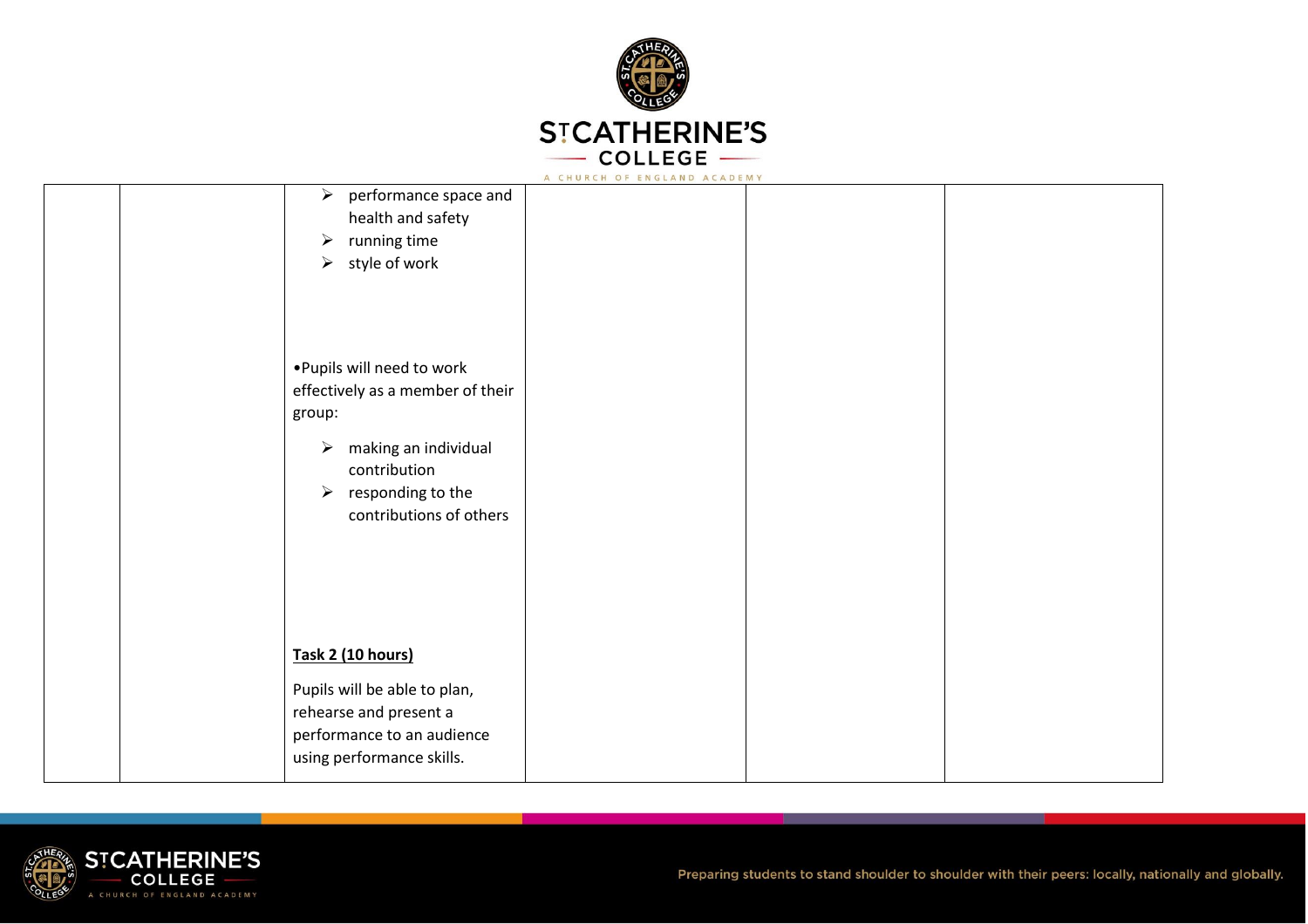

|                                                                                                                                                                                                    | A CHURCH OF ENGLAND ACADEMY |  |
|----------------------------------------------------------------------------------------------------------------------------------------------------------------------------------------------------|-----------------------------|--|
| $\triangleright$ performance space and<br>health and safety<br>running time<br>$\blacktriangleright$<br>style of work<br>$\blacktriangleright$                                                     |                             |  |
| . Pupils will need to work<br>effectively as a member of their<br>group:<br>$\triangleright$ making an individual<br>contribution<br>$\triangleright$ responding to the<br>contributions of others |                             |  |
| Task 2 (10 hours)<br>Pupils will be able to plan,<br>rehearse and present a<br>performance to an audience<br>using performance skills.                                                             |                             |  |

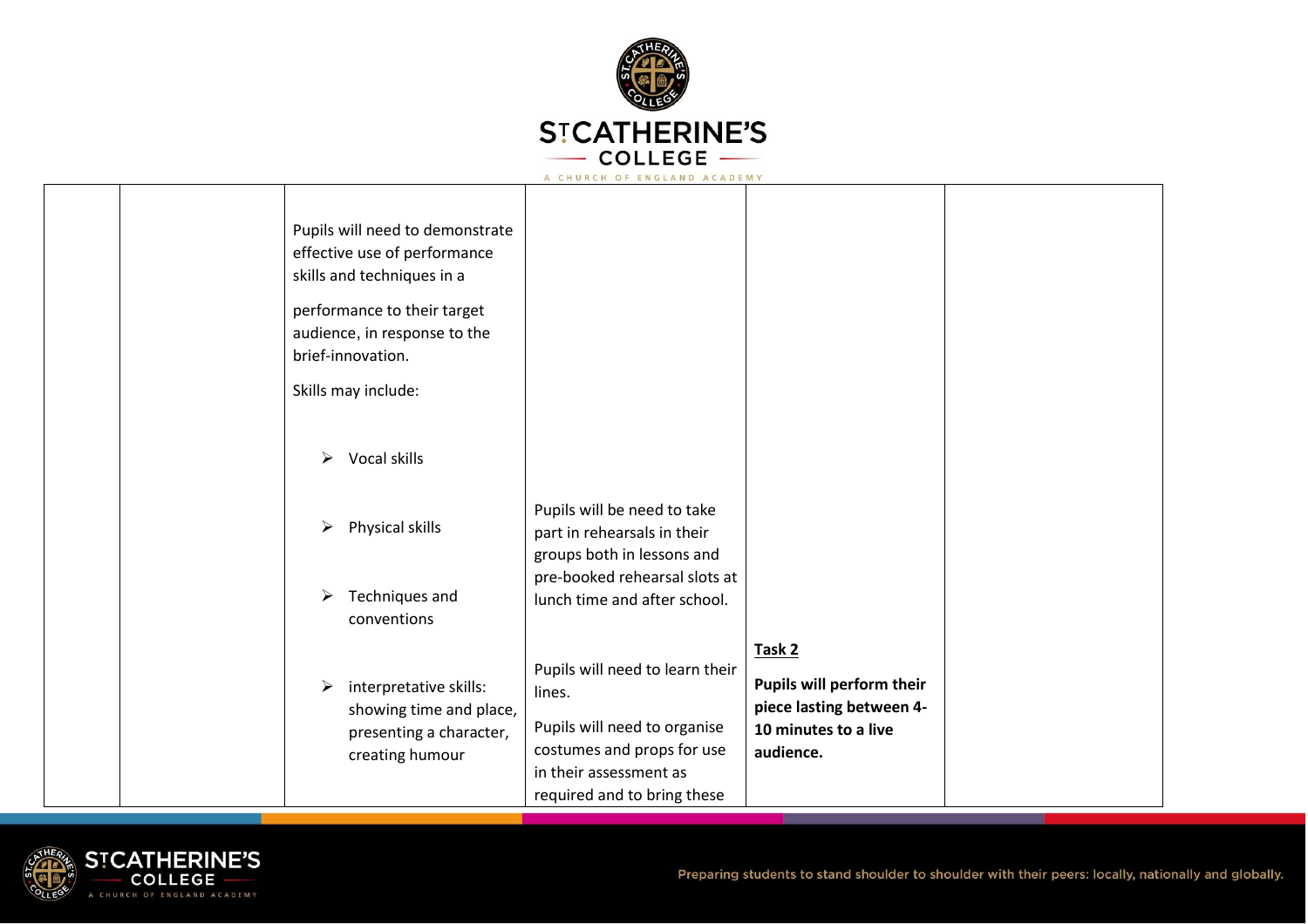

|  | Pupils will need to demonstrate<br>effective use of performance<br>skills and techniques in a<br>performance to their target<br>audience, in response to the<br>brief-innovation.<br>Skills may include:<br>Vocal skills<br>➤ |                                                                                                                                                                  |                                                                                                      |  |
|--|-------------------------------------------------------------------------------------------------------------------------------------------------------------------------------------------------------------------------------|------------------------------------------------------------------------------------------------------------------------------------------------------------------|------------------------------------------------------------------------------------------------------|--|
|  | Physical skills<br>➤<br>Techniques and<br>conventions                                                                                                                                                                         | Pupils will be need to take<br>part in rehearsals in their<br>groups both in lessons and<br>pre-booked rehearsal slots at<br>lunch time and after school.        |                                                                                                      |  |
|  | interpretative skills:<br>➤<br>showing time and place,<br>presenting a character,<br>creating humour                                                                                                                          | Pupils will need to learn their<br>lines.<br>Pupils will need to organise<br>costumes and props for use<br>in their assessment as<br>required and to bring these | Task 2<br>Pupils will perform their<br>piece lasting between 4-<br>10 minutes to a live<br>audience. |  |